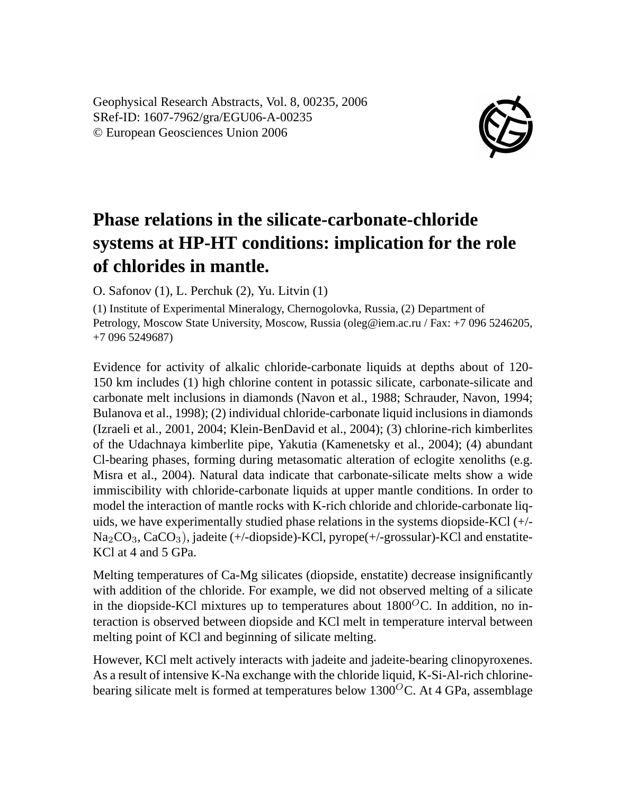Geophysical Research Abstracts, Vol. 8, 00235, 2006 SRef-ID: 1607-7962/gra/EGU06-A-00235 © European Geosciences Union 2006



## **Phase relations in the silicate-carbonate-chloride systems at HP-HT conditions: implication for the role of chlorides in mantle.**

O. Safonov (1), L. Perchuk (2), Yu. Litvin (1)

(1) Institute of Experimental Mineralogy, Chernogolovka, Russia, (2) Department of Petrology, Moscow State University, Moscow, Russia (oleg@iem.ac.ru / Fax: +7 096 5246205, +7 096 5249687)

Evidence for activity of alkalic chloride-carbonate liquids at depths about of 120- 150 km includes (1) high chlorine content in potassic silicate, carbonate-silicate and carbonate melt inclusions in diamonds (Navon et al., 1988; Schrauder, Navon, 1994; Bulanova et al., 1998); (2) individual chloride-carbonate liquid inclusions in diamonds (Izraeli et al., 2001, 2004; Klein-BenDavid et al., 2004); (3) chlorine-rich kimberlites of the Udachnaya kimberlite pipe, Yakutia (Kamenetsky et al., 2004); (4) abundant Cl-bearing phases, forming during metasomatic alteration of eclogite xenoliths (e.g. Misra et al., 2004). Natural data indicate that carbonate-silicate melts show a wide immiscibility with chloride-carbonate liquids at upper mantle conditions. In order to model the interaction of mantle rocks with K-rich chloride and chloride-carbonate liquids, we have experimentally studied phase relations in the systems diopside-KCl (+/- Na<sub>2</sub>CO<sub>3</sub>, CaCO<sub>3</sub>), jadeite (+/-diopside)-KCl, pyrope(+/-grossular)-KCl and enstatite-KCl at 4 and 5 GPa.

Melting temperatures of Ca-Mg silicates (diopside, enstatite) decrease insignificantly with addition of the chloride. For example, we did not observed melting of a silicate in the diopside-KCl mixtures up to temperatures about  $1800^{\circ}$ C. In addition, no interaction is observed between diopside and KCl melt in temperature interval between melting point of KCl and beginning of silicate melting.

However, KCl melt actively interacts with jadeite and jadeite-bearing clinopyroxenes. As a result of intensive K-Na exchange with the chloride liquid, K-Si-Al-rich chlorinebearing silicate melt is formed at temperatures below  $1300^{\circ}$ C. At 4 GPa, assemblage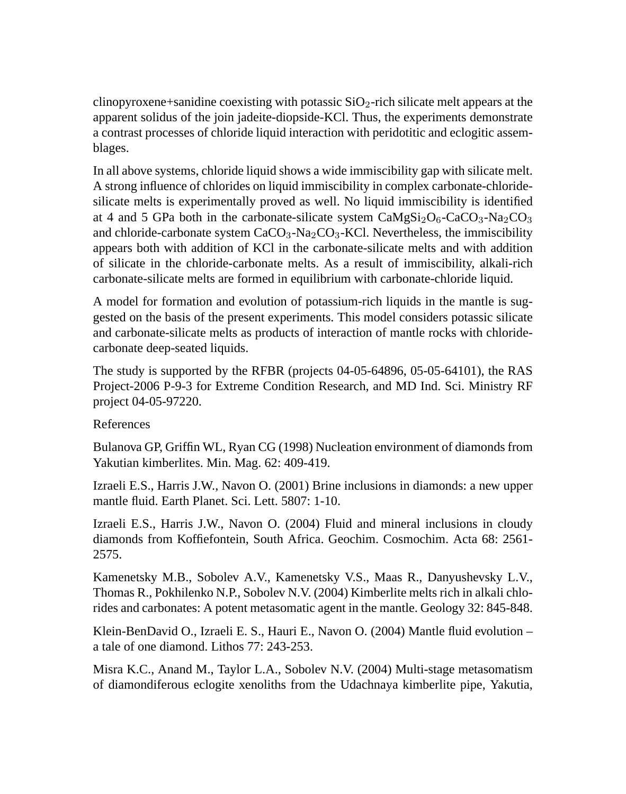clinopyroxene+sanidine coexisting with potassic  $SiO<sub>2</sub>$ -rich silicate melt appears at the apparent solidus of the join jadeite-diopside-KCl. Thus, the experiments demonstrate a contrast processes of chloride liquid interaction with peridotitic and eclogitic assemblages.

In all above systems, chloride liquid shows a wide immiscibility gap with silicate melt. A strong influence of chlorides on liquid immiscibility in complex carbonate-chloridesilicate melts is experimentally proved as well. No liquid immiscibility is identified at 4 and 5 GPa both in the carbonate-silicate system  $CaMgSi<sub>2</sub>Os<sub>3</sub>-Na<sub>2</sub>CO<sub>3</sub>$ and chloride-carbonate system  $CaCO<sub>3</sub>-Na<sub>2</sub>CO<sub>3</sub>-KCl$ . Nevertheless, the immiscibility appears both with addition of KCl in the carbonate-silicate melts and with addition of silicate in the chloride-carbonate melts. As a result of immiscibility, alkali-rich carbonate-silicate melts are formed in equilibrium with carbonate-chloride liquid.

A model for formation and evolution of potassium-rich liquids in the mantle is suggested on the basis of the present experiments. This model considers potassic silicate and carbonate-silicate melts as products of interaction of mantle rocks with chloridecarbonate deep-seated liquids.

The study is supported by the RFBR (projects 04-05-64896, 05-05-64101), the RAS Project-2006 P-9-3 for Extreme Condition Research, and MD Ind. Sci. Ministry RF project 04-05-97220.

## References

Bulanova GP, Griffin WL, Ryan CG (1998) Nucleation environment of diamonds from Yakutian kimberlites. Min. Mag. 62: 409-419.

Izraeli E.S., Harris J.W., Navon O. (2001) Brine inclusions in diamonds: a new upper mantle fluid. Earth Planet. Sci. Lett. 5807: 1-10.

Izraeli E.S., Harris J.W., Navon O. (2004) Fluid and mineral inclusions in cloudy diamonds from Koffiefontein, South Africa. Geochim. Cosmochim. Acta 68: 2561- 2575.

Kamenetsky M.B., Sobolev A.V., Kamenetsky V.S., Maas R., Danyushevsky L.V., Thomas R., Pokhilenko N.P., Sobolev N.V. (2004) Kimberlite melts rich in alkali chlorides and carbonates: A potent metasomatic agent in the mantle. Geology 32: 845-848.

Klein-BenDavid O., Izraeli E. S., Hauri E., Navon O. (2004) Mantle fluid evolution – a tale of one diamond. Lithos 77: 243-253.

Misra K.C., Anand M., Taylor L.A., Sobolev N.V. (2004) Multi-stage metasomatism of diamondiferous eclogite xenoliths from the Udachnaya kimberlite pipe, Yakutia,